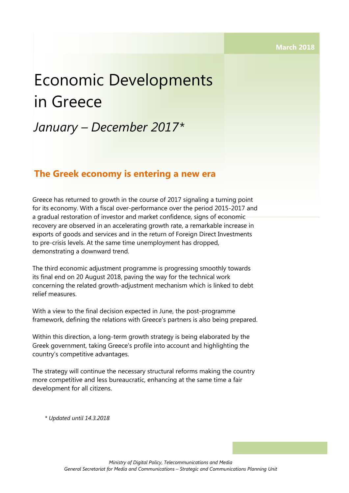# Economic Developments in Greece

# *January – December 2017\**

## **The Greek economy is entering a new era**

Greece has returned to growth in the course of 2017 signaling a turning point for its economy. With a fiscal over-performance over the period 2015-2017 and a gradual restoration of investor and market confidence, signs of economic recovery are observed in an accelerating growth rate, a remarkable increase in exports of goods and services and in the return of Foreign Direct Investments to pre-crisis levels. At the same time unemployment has dropped, demonstrating a downward trend.

The third economic adjustment programme is progressing smoothly towards its final end on 20 August 2018, paving the way for the technical work concerning the related growth-adjustment mechanism which is linked to debt relief measures.

With a view to the final decision expected in June, the post-programme framework, defining the relations with Greece's partners is also being prepared.

Within this direction, a long-term growth strategy is being elaborated by the Greek government, taking Greece's profile into account and highlighting the country's competitive advantages.

The strategy will continue the necessary structural reforms making the country more competitive and less bureaucratic, enhancing at the same time a fair development for all citizens.

*\* Updated until 14.3.2018*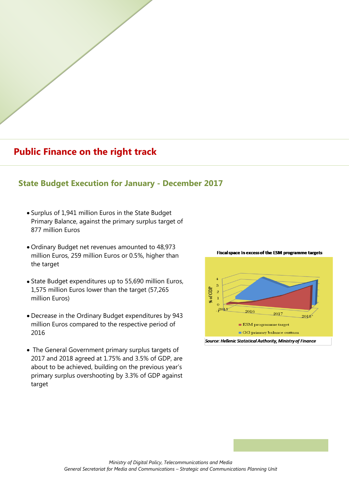# **Public Finance on the right track**

## **State Budget Execution for January - December 2017**

- Surplus of 1,941 million Euros in the State Budget Primary Balance, against the primary surplus target of 877 million Euros
- Ordinary Budget net revenues amounted to 48,973 million Euros, 259 million Euros or 0.5%, higher than the target
- State Budget expenditures up to 55,690 million Euros, 1,575 million Euros lower than the target (57,265 million Euros)
- Decrease in the Ordinary Budget expenditures by 943 million Euros compared to the respective period of 2016
- The General Government primary surplus targets of 2017 and 2018 agreed at 1.75% and 3.5% of GDP, are about to be achieved, building on the previous year's primary surplus overshooting by 3.3% of GDP against target



#### Fiscal space in excess of the ESM programme targets

Source: Hellenic Statistical Authority, Ministry of Finance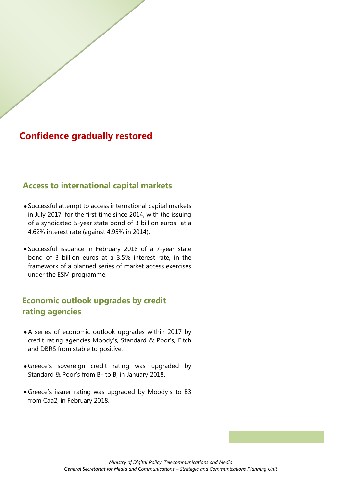## **Confidence gradually restored**

#### **Access to international capital markets**

- Successful attempt to access international capital markets in July 2017, for the first time since 2014, with the issuing of a syndicated 5-year state bond of 3 billion euros at a 4.62% interest rate (against 4.95% in 2014).
- Successful issuance in February 2018 of a 7-year state bond of 3 billion euros at a 3.5% interest rate, in the framework of a planned series of market access exercises under the ESM programme.

## **Economic outlook upgrades by credit rating agencies**

- A series of economic outlook upgrades within 2017 by credit rating agencies Moody's, Standard & Poor's, Fitch and DBRS from stable to positive.
- Greece's sovereign credit rating was upgraded by Standard & Poor's from B- to B, in January 2018.
- Greece's issuer rating was upgraded by Moody΄s to B3 from Caa2, in February 2018.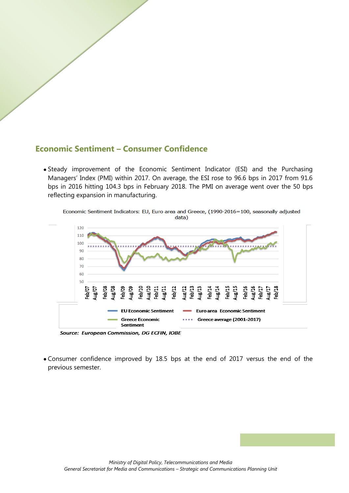### **Economic Sentiment – Consumer Confidence**

Steady improvement of the Economic Sentiment Indicator (ESI) and the Purchasing Managers' Index (PMI) within 2017. On average, the ESI rose to 96.6 bps in 2017 from 91.6 bps in 2016 hitting 104.3 bps in February 2018. The PMI on average went over the 50 bps reflecting expansion in manufacturing.





Source: European Commission, DG ECFIN, IOBE

Consumer confidence improved by 18.5 bps at the end of 2017 versus the end of the previous semester.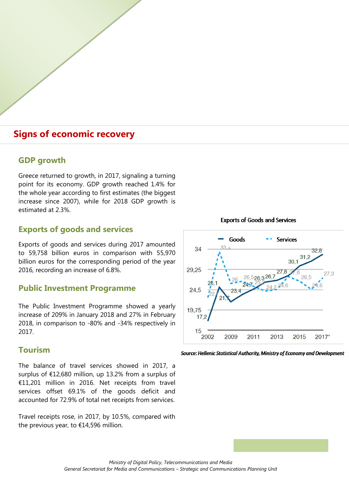## **Signs of economic recovery**

#### **GDP growth**

Greece returned to growth, in 2017, signaling a turning point for its economy. GDP growth reached 1.4% for the whole year according to first estimates (the biggest increase since 2007), while for 2018 GDP growth is estimated at 2.3%.

#### **Exports of goods and services**

Exports of goods and services during 2017 amounted to 59,758 billion euros in comparison with 55,970 billion euros for the corresponding period of the year 2016, recording an increase of 6.8%.

#### **Public Investment Programme**

The Public Investment Programme showed a yearly increase of 209% in January 2018 and 27% in February 2018, in comparison to -80% and -34% respectively in 2017.

#### **Tourism**

The balance of travel services showed in 2017, a surplus of €12,680 million, up 13.2% from a surplus of €11,201 million in 2016. Net receipts from travel services offset 69.1% of the goods deficit and accounted for 72.9% of total net receipts from services.

Travel receipts rose, in 2017, by 10.5%, compared with the previous year, to €14,596 million.



**Exports of Goods and Services** 

Source: Hellenic Statistical Authority, Ministry of Economy and Development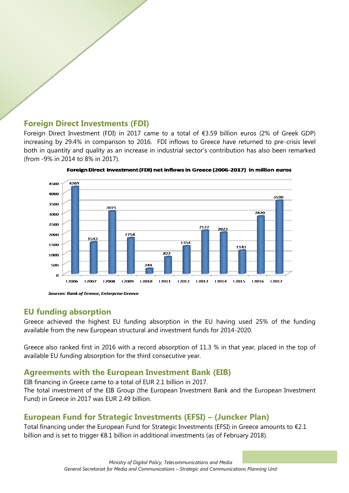### **Foreign Direct Investments (FDI)**

Foreign Direct Investment (FDI) in 2017 came to a total of €3.59 billion euros (2% of Greek GDP) increasing by 29.4% in comparison to 2016. FDI inflows to Greece have returned to pre-crisis level both in quantity and quality as an increase in industrial sector's contribution has also been remarked (from -9% in 2014 to 8% in 2017).



Foreign Direct Investment (FDI) net inflows in Greece (2006-2017) in million euros

Sources: Bank of Greece, Enterprise Greece

### **EU funding absorption**

Greece achieved the highest EU funding absorption in the EU having used 25% of the funding available from the new European structural and investment funds for 2014-2020.

Greece also ranked first in 2016 with a record absorption of 11.3 % in that year, placed in the top of available EU funding absorption for the third consecutive year.

## **Agreements with the European Investment Bank (EIB)**

EIB financing in Greece came to a total of EUR 2.1 billion in 2017.

The total investment of the EIB Group (the European Investment Bank and the European Investment Fund) in Greece in 2017 was EUR 2.49 billion.

## **European Fund for Strategic Investments (EFSI) – (Juncker Plan)**

Total financing under the European Fund for Strategic Investments (EFSI) in Greece amounts to €2.1 billion and is set to trigger €8.1 billion in additional investments (as of February 2018).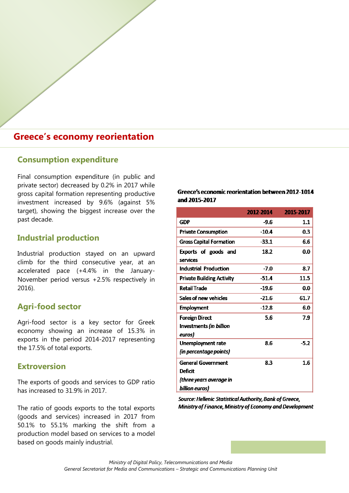## **Greece's economy reorientation**

#### **Consumption expenditure**

Final consumption expenditure (in public and private sector) decreased by 0.2% in 2017 while gross capital formation representing productive investment increased by 9.6% (against 5% target), showing the biggest increase over the past decade.

### **Industrial production**

Industrial production stayed on an upward climb for the third consecutive year, at an accelerated pace (+4.4% in the January-November period versus +2.5% respectively in 2016).

### **Agri-food sector**

Agri-food sector is a key sector for Greek economy showing an increase of 15.3% in exports in the period 2014-2017 representing the 17.5% of total exports.

#### **Extroversion**

The exports of goods and services to GDP ratio has increased to 31.9% in 2017.

The ratio of goods exports to the total exports (goods and services) increased in 2017 from 50.1% to 55.1% marking the shift from a production model based on services to a model based on goods mainly industrial.

#### Greece's economic reorientation between 2012-1014 and 2015-2017

|                                  | 2012-2014 | 2015-2017 |
|----------------------------------|-----------|-----------|
| GDP                              | -9.6      | 1.1       |
| <b>Private Consumption</b>       | $-10.4$   | 0.3       |
| <b>Gross Capital Formation</b>   | $-33.1$   | 6.6       |
| Exports of goods and             | 18.2      | 0.0       |
| services                         |           |           |
| <b>Industrial Production</b>     | $-7.0$    | 8.7       |
| <b>Private Building Activity</b> | $-51.4$   | 11.5      |
| <b>Retail Trade</b>              | $-19.6$   | 0.0       |
| Sales of new vehicles            | -21.6     | 61.7      |
| <b>Employment</b>                | $-12.8$   | 6.0       |
| <b>Foreign Direct</b>            | 5.6       | 7.9       |
| Investments (in billion          |           |           |
| euros)                           |           |           |
| Unemployment rate                | 8.6       | $-5.2$    |
| (in percentage points)           |           |           |
| <b>General Government</b>        | 8.3       | 1.6       |
| <b>Deficit</b>                   |           |           |
| (three years average in          |           |           |
| billion euros)                   |           |           |

Source: Hellenic Statistical Authority, Bank of Greece, Ministry of Finance, Ministry of Economy and Development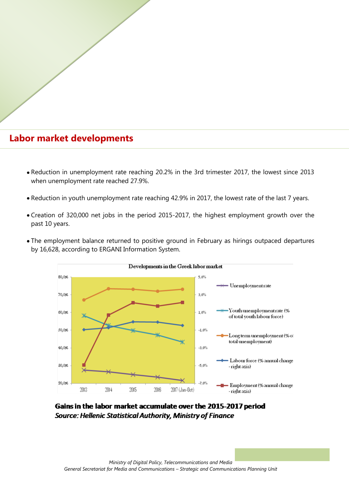## **Labor market developments**

- Reduction in unemployment rate reaching 20.2% in the 3rd trimester 2017, the lowest since 2013 when unemployment rate reached 27.9%.
- Reduction in youth unemployment rate reaching 42.9% in 2017, the lowest rate of the last 7 years.
- Creation of 320,000 net jobs in the period 2015-2017, the highest employment growth over the past 10 years.
- The employment balance returned to positive ground in February as hirings outpaced departures by 16,628, according to ERGANI Information System.



#### Developments in the Greek labor market

Gains in the labor market accumulate over the 2015-2017 period Source: Hellenic Statistical Authority, Ministry of Finance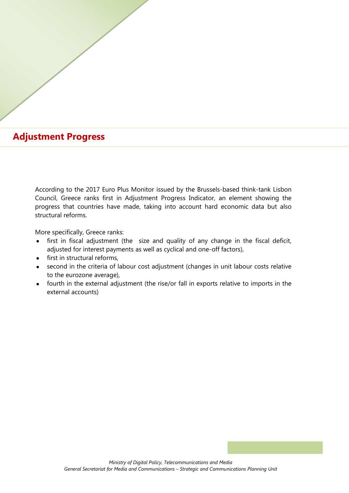## **Adjustment Progress**

According to the 2017 Euro Plus Monitor issued by the Brussels-based think-tank Lisbon Council, Greece ranks first in Adjustment Progress Indicator, an element showing the progress that countries have made, taking into account hard economic data but also structural reforms.

More specifically, Greece ranks:

- adjusted for interest payments as well as cyclical and one-off factors),<br>Carlian that the phase constants as well as cyclical and one-off factors), • first in fiscal adjustment (the size and quality of any change in the fiscal deficit,
	- first in structural reforms,
	- second in the criteria of labour cost adjustment (changes in unit labour costs relative to the eurozone average),
	- fourth in the external adjustment (the rise/or fall in exports relative to imports in the external accounts)